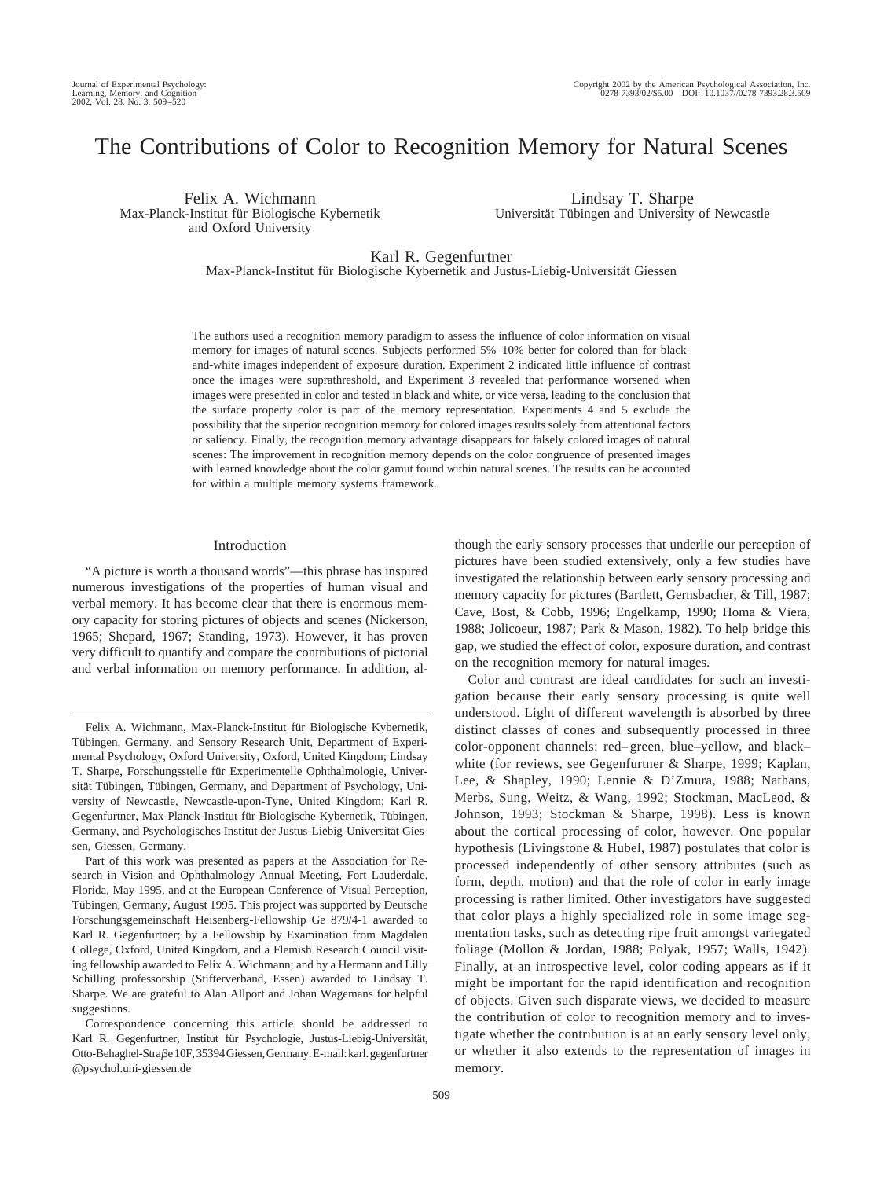# The Contributions of Color to Recognition Memory for Natural Scenes

Felix A. Wichmann Max-Planck-Institut für Biologische Kybernetik and Oxford University

Lindsay T. Sharpe Universität Tübingen and University of Newcastle

Karl R. Gegenfurtner

Max-Planck-Institut für Biologische Kybernetik and Justus-Liebig-Universität Giessen

The authors used a recognition memory paradigm to assess the influence of color information on visual memory for images of natural scenes. Subjects performed 5%–10% better for colored than for blackand-white images independent of exposure duration. Experiment 2 indicated little influence of contrast once the images were suprathreshold, and Experiment 3 revealed that performance worsened when images were presented in color and tested in black and white, or vice versa, leading to the conclusion that the surface property color is part of the memory representation. Experiments 4 and 5 exclude the possibility that the superior recognition memory for colored images results solely from attentional factors or saliency. Finally, the recognition memory advantage disappears for falsely colored images of natural scenes: The improvement in recognition memory depends on the color congruence of presented images with learned knowledge about the color gamut found within natural scenes. The results can be accounted for within a multiple memory systems framework.

## Introduction

"A picture is worth a thousand words"—this phrase has inspired numerous investigations of the properties of human visual and verbal memory. It has become clear that there is enormous memory capacity for storing pictures of objects and scenes (Nickerson, 1965; Shepard, 1967; Standing, 1973). However, it has proven very difficult to quantify and compare the contributions of pictorial and verbal information on memory performance. In addition, although the early sensory processes that underlie our perception of pictures have been studied extensively, only a few studies have investigated the relationship between early sensory processing and memory capacity for pictures (Bartlett, Gernsbacher, & Till, 1987; Cave, Bost, & Cobb, 1996; Engelkamp, 1990; Homa & Viera, 1988; Jolicoeur, 1987; Park & Mason, 1982). To help bridge this gap, we studied the effect of color, exposure duration, and contrast on the recognition memory for natural images.

Color and contrast are ideal candidates for such an investigation because their early sensory processing is quite well understood. Light of different wavelength is absorbed by three distinct classes of cones and subsequently processed in three color-opponent channels: red–green, blue–yellow, and black– white (for reviews, see Gegenfurtner & Sharpe, 1999; Kaplan, Lee, & Shapley, 1990; Lennie & D'Zmura, 1988; Nathans, Merbs, Sung, Weitz, & Wang, 1992; Stockman, MacLeod, & Johnson, 1993; Stockman & Sharpe, 1998). Less is known about the cortical processing of color, however. One popular hypothesis (Livingstone & Hubel, 1987) postulates that color is processed independently of other sensory attributes (such as form, depth, motion) and that the role of color in early image processing is rather limited. Other investigators have suggested that color plays a highly specialized role in some image segmentation tasks, such as detecting ripe fruit amongst variegated foliage (Mollon & Jordan, 1988; Polyak, 1957; Walls, 1942). Finally, at an introspective level, color coding appears as if it might be important for the rapid identification and recognition of objects. Given such disparate views, we decided to measure the contribution of color to recognition memory and to investigate whether the contribution is at an early sensory level only, or whether it also extends to the representation of images in memory.

Felix A. Wichmann, Max-Planck-Institut für Biologische Kybernetik, Tübingen, Germany, and Sensory Research Unit, Department of Experimental Psychology, Oxford University, Oxford, United Kingdom; Lindsay T. Sharpe, Forschungsstelle für Experimentelle Ophthalmologie, Universität Tübingen, Tübingen, Germany, and Department of Psychology, University of Newcastle, Newcastle-upon-Tyne, United Kingdom; Karl R. Gegenfurtner, Max-Planck-Institut für Biologische Kybernetik, Tübingen, Germany, and Psychologisches Institut der Justus-Liebig-Universität Giessen, Giessen, Germany.

Part of this work was presented as papers at the Association for Research in Vision and Ophthalmology Annual Meeting, Fort Lauderdale, Florida, May 1995, and at the European Conference of Visual Perception, Tübingen, Germany, August 1995. This project was supported by Deutsche Forschungsgemeinschaft Heisenberg-Fellowship Ge 879/4-1 awarded to Karl R. Gegenfurtner; by a Fellowship by Examination from Magdalen College, Oxford, United Kingdom, and a Flemish Research Council visiting fellowship awarded to Felix A. Wichmann; and by a Hermann and Lilly Schilling professorship (Stifterverband, Essen) awarded to Lindsay T. Sharpe. We are grateful to Alan Allport and Johan Wagemans for helpful suggestions.

Correspondence concerning this article should be addressed to Karl R. Gegenfurtner, Institut für Psychologie, Justus-Liebig-Universität, Otto-Behaghel-Straße 10F, 35394 Giessen, Germany. E-mail: karl. gegenfurtner @psychol.uni-giessen.de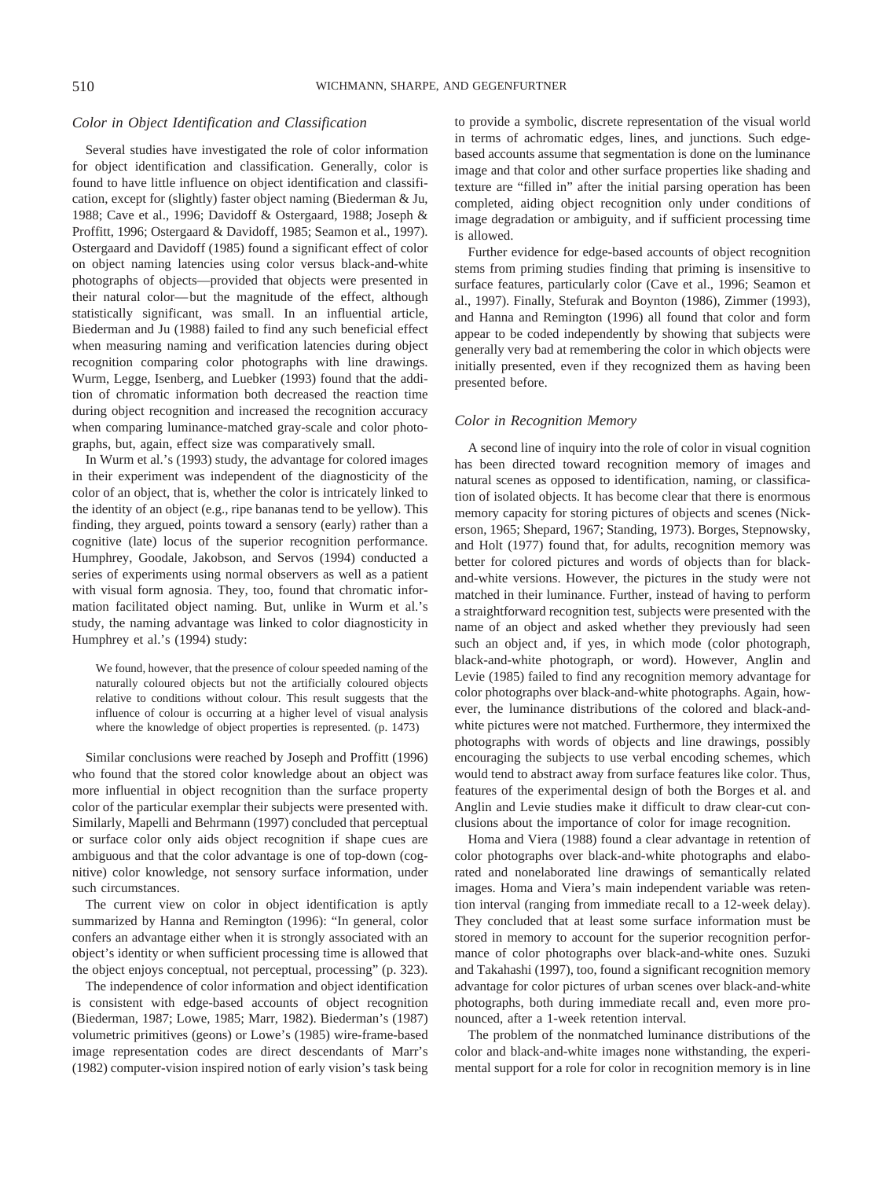#### *Color in Object Identification and Classification*

Several studies have investigated the role of color information for object identification and classification. Generally, color is found to have little influence on object identification and classification, except for (slightly) faster object naming (Biederman & Ju, 1988; Cave et al., 1996; Davidoff & Ostergaard, 1988; Joseph & Proffitt, 1996; Ostergaard & Davidoff, 1985; Seamon et al., 1997). Ostergaard and Davidoff (1985) found a significant effect of color on object naming latencies using color versus black-and-white photographs of objects—provided that objects were presented in their natural color—but the magnitude of the effect, although statistically significant, was small. In an influential article, Biederman and Ju (1988) failed to find any such beneficial effect when measuring naming and verification latencies during object recognition comparing color photographs with line drawings. Wurm, Legge, Isenberg, and Luebker (1993) found that the addition of chromatic information both decreased the reaction time during object recognition and increased the recognition accuracy when comparing luminance-matched gray-scale and color photographs, but, again, effect size was comparatively small.

In Wurm et al.'s (1993) study, the advantage for colored images in their experiment was independent of the diagnosticity of the color of an object, that is, whether the color is intricately linked to the identity of an object (e.g., ripe bananas tend to be yellow). This finding, they argued, points toward a sensory (early) rather than a cognitive (late) locus of the superior recognition performance. Humphrey, Goodale, Jakobson, and Servos (1994) conducted a series of experiments using normal observers as well as a patient with visual form agnosia. They, too, found that chromatic information facilitated object naming. But, unlike in Wurm et al.'s study, the naming advantage was linked to color diagnosticity in Humphrey et al.'s (1994) study:

We found, however, that the presence of colour speeded naming of the naturally coloured objects but not the artificially coloured objects relative to conditions without colour. This result suggests that the influence of colour is occurring at a higher level of visual analysis where the knowledge of object properties is represented. (p. 1473)

Similar conclusions were reached by Joseph and Proffitt (1996) who found that the stored color knowledge about an object was more influential in object recognition than the surface property color of the particular exemplar their subjects were presented with. Similarly, Mapelli and Behrmann (1997) concluded that perceptual or surface color only aids object recognition if shape cues are ambiguous and that the color advantage is one of top-down (cognitive) color knowledge, not sensory surface information, under such circumstances.

The current view on color in object identification is aptly summarized by Hanna and Remington (1996): "In general, color confers an advantage either when it is strongly associated with an object's identity or when sufficient processing time is allowed that the object enjoys conceptual, not perceptual, processing" (p. 323).

The independence of color information and object identification is consistent with edge-based accounts of object recognition (Biederman, 1987; Lowe, 1985; Marr, 1982). Biederman's (1987) volumetric primitives (geons) or Lowe's (1985) wire-frame-based image representation codes are direct descendants of Marr's (1982) computer-vision inspired notion of early vision's task being

to provide a symbolic, discrete representation of the visual world in terms of achromatic edges, lines, and junctions. Such edgebased accounts assume that segmentation is done on the luminance image and that color and other surface properties like shading and texture are "filled in" after the initial parsing operation has been completed, aiding object recognition only under conditions of image degradation or ambiguity, and if sufficient processing time is allowed.

Further evidence for edge-based accounts of object recognition stems from priming studies finding that priming is insensitive to surface features, particularly color (Cave et al., 1996; Seamon et al., 1997). Finally, Stefurak and Boynton (1986), Zimmer (1993), and Hanna and Remington (1996) all found that color and form appear to be coded independently by showing that subjects were generally very bad at remembering the color in which objects were initially presented, even if they recognized them as having been presented before.

## *Color in Recognition Memory*

A second line of inquiry into the role of color in visual cognition has been directed toward recognition memory of images and natural scenes as opposed to identification, naming, or classification of isolated objects. It has become clear that there is enormous memory capacity for storing pictures of objects and scenes (Nickerson, 1965; Shepard, 1967; Standing, 1973). Borges, Stepnowsky, and Holt (1977) found that, for adults, recognition memory was better for colored pictures and words of objects than for blackand-white versions. However, the pictures in the study were not matched in their luminance. Further, instead of having to perform a straightforward recognition test, subjects were presented with the name of an object and asked whether they previously had seen such an object and, if yes, in which mode (color photograph, black-and-white photograph, or word). However, Anglin and Levie (1985) failed to find any recognition memory advantage for color photographs over black-and-white photographs. Again, however, the luminance distributions of the colored and black-andwhite pictures were not matched. Furthermore, they intermixed the photographs with words of objects and line drawings, possibly encouraging the subjects to use verbal encoding schemes, which would tend to abstract away from surface features like color. Thus, features of the experimental design of both the Borges et al. and Anglin and Levie studies make it difficult to draw clear-cut conclusions about the importance of color for image recognition.

Homa and Viera (1988) found a clear advantage in retention of color photographs over black-and-white photographs and elaborated and nonelaborated line drawings of semantically related images. Homa and Viera's main independent variable was retention interval (ranging from immediate recall to a 12-week delay). They concluded that at least some surface information must be stored in memory to account for the superior recognition performance of color photographs over black-and-white ones. Suzuki and Takahashi (1997), too, found a significant recognition memory advantage for color pictures of urban scenes over black-and-white photographs, both during immediate recall and, even more pronounced, after a 1-week retention interval.

The problem of the nonmatched luminance distributions of the color and black-and-white images none withstanding, the experimental support for a role for color in recognition memory is in line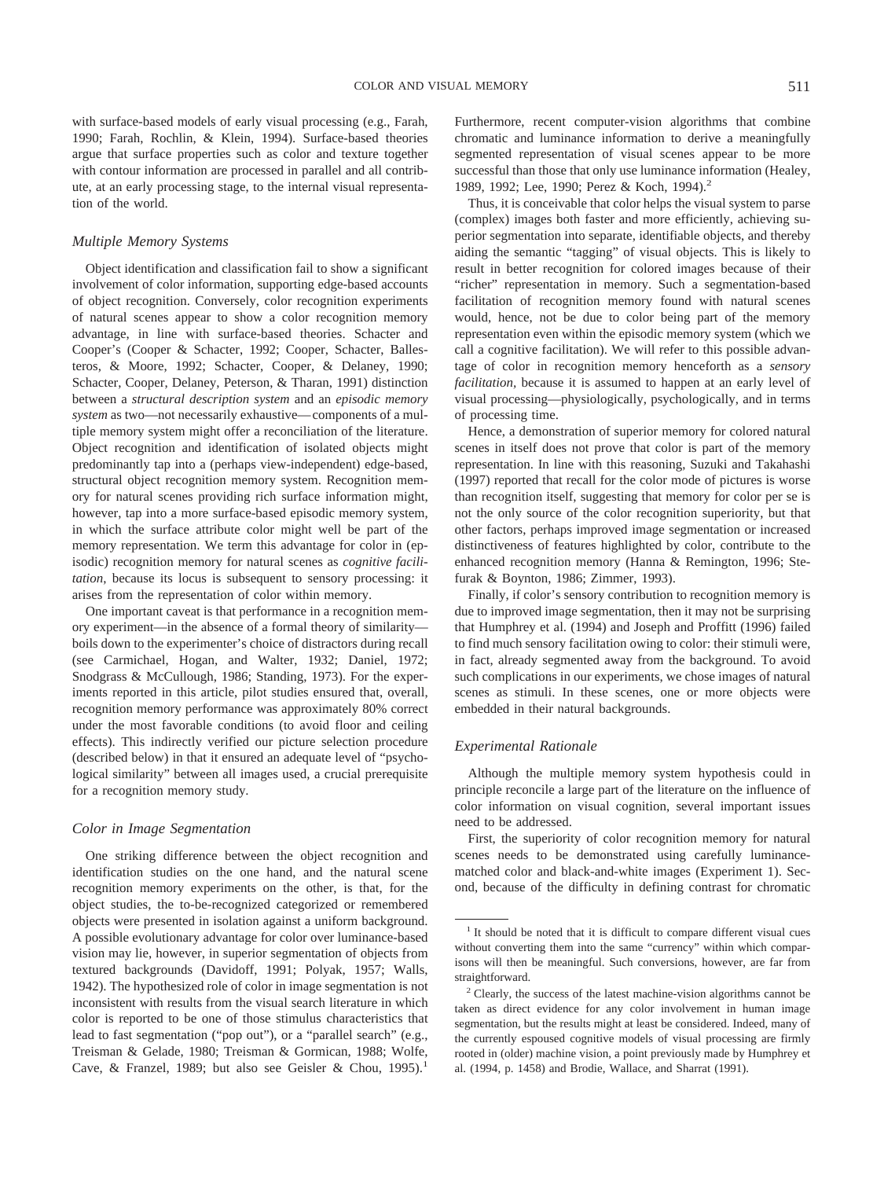with surface-based models of early visual processing (e.g., Farah, 1990; Farah, Rochlin, & Klein, 1994). Surface-based theories argue that surface properties such as color and texture together with contour information are processed in parallel and all contribute, at an early processing stage, to the internal visual representation of the world.

#### *Multiple Memory Systems*

Object identification and classification fail to show a significant involvement of color information, supporting edge-based accounts of object recognition. Conversely, color recognition experiments of natural scenes appear to show a color recognition memory advantage, in line with surface-based theories. Schacter and Cooper's (Cooper & Schacter, 1992; Cooper, Schacter, Ballesteros, & Moore, 1992; Schacter, Cooper, & Delaney, 1990; Schacter, Cooper, Delaney, Peterson, & Tharan, 1991) distinction between a *structural description system* and an *episodic memory system* as two—not necessarily exhaustive—components of a multiple memory system might offer a reconciliation of the literature. Object recognition and identification of isolated objects might predominantly tap into a (perhaps view-independent) edge-based, structural object recognition memory system. Recognition memory for natural scenes providing rich surface information might, however, tap into a more surface-based episodic memory system, in which the surface attribute color might well be part of the memory representation. We term this advantage for color in (episodic) recognition memory for natural scenes as *cognitive facilitation*, because its locus is subsequent to sensory processing: it arises from the representation of color within memory.

One important caveat is that performance in a recognition memory experiment—in the absence of a formal theory of similarity boils down to the experimenter's choice of distractors during recall (see Carmichael, Hogan, and Walter, 1932; Daniel, 1972; Snodgrass & McCullough, 1986; Standing, 1973). For the experiments reported in this article, pilot studies ensured that, overall, recognition memory performance was approximately 80% correct under the most favorable conditions (to avoid floor and ceiling effects). This indirectly verified our picture selection procedure (described below) in that it ensured an adequate level of "psychological similarity" between all images used, a crucial prerequisite for a recognition memory study.

#### *Color in Image Segmentation*

One striking difference between the object recognition and identification studies on the one hand, and the natural scene recognition memory experiments on the other, is that, for the object studies, the to-be-recognized categorized or remembered objects were presented in isolation against a uniform background. A possible evolutionary advantage for color over luminance-based vision may lie, however, in superior segmentation of objects from textured backgrounds (Davidoff, 1991; Polyak, 1957; Walls, 1942). The hypothesized role of color in image segmentation is not inconsistent with results from the visual search literature in which color is reported to be one of those stimulus characteristics that lead to fast segmentation ("pop out"), or a "parallel search" (e.g., Treisman & Gelade, 1980; Treisman & Gormican, 1988; Wolfe, Cave, & Franzel, 1989; but also see Geisler & Chou, 1995).<sup>1</sup>

Furthermore, recent computer-vision algorithms that combine chromatic and luminance information to derive a meaningfully segmented representation of visual scenes appear to be more successful than those that only use luminance information (Healey, 1989, 1992; Lee, 1990; Perez & Koch, 1994).<sup>2</sup>

Thus, it is conceivable that color helps the visual system to parse (complex) images both faster and more efficiently, achieving superior segmentation into separate, identifiable objects, and thereby aiding the semantic "tagging" of visual objects. This is likely to result in better recognition for colored images because of their "richer" representation in memory. Such a segmentation-based facilitation of recognition memory found with natural scenes would, hence, not be due to color being part of the memory representation even within the episodic memory system (which we call a cognitive facilitation). We will refer to this possible advantage of color in recognition memory henceforth as a *sensory facilitation,* because it is assumed to happen at an early level of visual processing—physiologically, psychologically, and in terms of processing time.

Hence, a demonstration of superior memory for colored natural scenes in itself does not prove that color is part of the memory representation. In line with this reasoning, Suzuki and Takahashi (1997) reported that recall for the color mode of pictures is worse than recognition itself, suggesting that memory for color per se is not the only source of the color recognition superiority, but that other factors, perhaps improved image segmentation or increased distinctiveness of features highlighted by color, contribute to the enhanced recognition memory (Hanna & Remington, 1996; Stefurak & Boynton, 1986; Zimmer, 1993).

Finally, if color's sensory contribution to recognition memory is due to improved image segmentation, then it may not be surprising that Humphrey et al. (1994) and Joseph and Proffitt (1996) failed to find much sensory facilitation owing to color: their stimuli were, in fact, already segmented away from the background. To avoid such complications in our experiments, we chose images of natural scenes as stimuli. In these scenes, one or more objects were embedded in their natural backgrounds.

# *Experimental Rationale*

Although the multiple memory system hypothesis could in principle reconcile a large part of the literature on the influence of color information on visual cognition, several important issues need to be addressed.

First, the superiority of color recognition memory for natural scenes needs to be demonstrated using carefully luminancematched color and black-and-white images (Experiment 1). Second, because of the difficulty in defining contrast for chromatic

<sup>&</sup>lt;sup>1</sup> It should be noted that it is difficult to compare different visual cues without converting them into the same "currency" within which comparisons will then be meaningful. Such conversions, however, are far from straightforward.

<sup>&</sup>lt;sup>2</sup> Clearly, the success of the latest machine-vision algorithms cannot be taken as direct evidence for any color involvement in human image segmentation, but the results might at least be considered. Indeed, many of the currently espoused cognitive models of visual processing are firmly rooted in (older) machine vision, a point previously made by Humphrey et al. (1994, p. 1458) and Brodie, Wallace, and Sharrat (1991).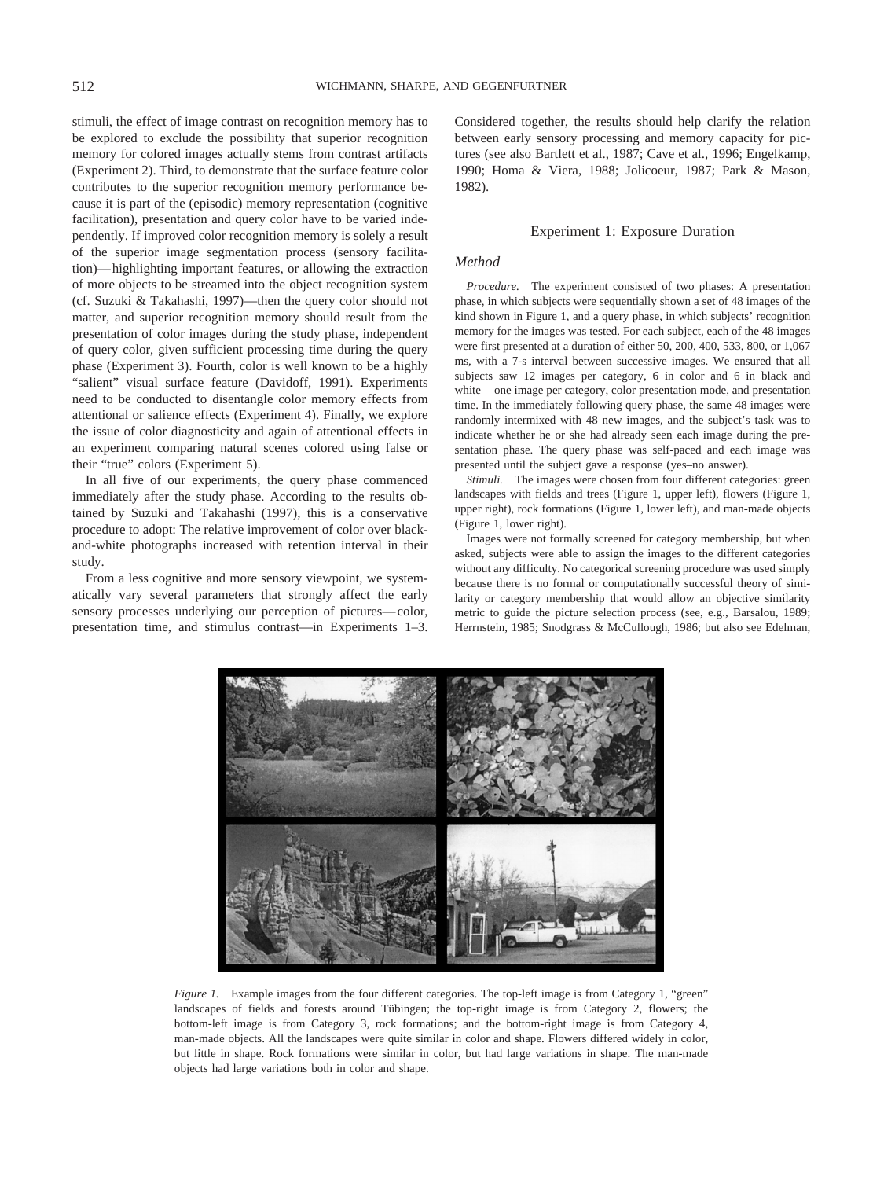stimuli, the effect of image contrast on recognition memory has to be explored to exclude the possibility that superior recognition memory for colored images actually stems from contrast artifacts (Experiment 2). Third, to demonstrate that the surface feature color contributes to the superior recognition memory performance because it is part of the (episodic) memory representation (cognitive facilitation), presentation and query color have to be varied independently. If improved color recognition memory is solely a result of the superior image segmentation process (sensory facilitation)—highlighting important features, or allowing the extraction of more objects to be streamed into the object recognition system (cf. Suzuki & Takahashi, 1997)—then the query color should not matter, and superior recognition memory should result from the presentation of color images during the study phase, independent of query color, given sufficient processing time during the query phase (Experiment 3). Fourth, color is well known to be a highly "salient" visual surface feature (Davidoff, 1991). Experiments need to be conducted to disentangle color memory effects from attentional or salience effects (Experiment 4). Finally, we explore the issue of color diagnosticity and again of attentional effects in an experiment comparing natural scenes colored using false or their "true" colors (Experiment 5).

In all five of our experiments, the query phase commenced immediately after the study phase. According to the results obtained by Suzuki and Takahashi (1997), this is a conservative procedure to adopt: The relative improvement of color over blackand-white photographs increased with retention interval in their study.

From a less cognitive and more sensory viewpoint, we systematically vary several parameters that strongly affect the early sensory processes underlying our perception of pictures—color, presentation time, and stimulus contrast—in Experiments 1–3.

Considered together, the results should help clarify the relation between early sensory processing and memory capacity for pictures (see also Bartlett et al., 1987; Cave et al., 1996; Engelkamp, 1990; Homa & Viera, 1988; Jolicoeur, 1987; Park & Mason, 1982).

#### Experiment 1: Exposure Duration

# *Method*

*Procedure.* The experiment consisted of two phases: A presentation phase, in which subjects were sequentially shown a set of 48 images of the kind shown in Figure 1, and a query phase, in which subjects' recognition memory for the images was tested. For each subject, each of the 48 images were first presented at a duration of either 50, 200, 400, 533, 800, or 1,067 ms, with a 7-s interval between successive images. We ensured that all subjects saw 12 images per category, 6 in color and 6 in black and white—one image per category, color presentation mode, and presentation time. In the immediately following query phase, the same 48 images were randomly intermixed with 48 new images, and the subject's task was to indicate whether he or she had already seen each image during the presentation phase. The query phase was self-paced and each image was presented until the subject gave a response (yes–no answer).

*Stimuli.* The images were chosen from four different categories: green landscapes with fields and trees (Figure 1, upper left), flowers (Figure 1, upper right), rock formations (Figure 1, lower left), and man-made objects (Figure 1, lower right).

Images were not formally screened for category membership, but when asked, subjects were able to assign the images to the different categories without any difficulty. No categorical screening procedure was used simply because there is no formal or computationally successful theory of similarity or category membership that would allow an objective similarity metric to guide the picture selection process (see, e.g., Barsalou, 1989; Herrnstein, 1985; Snodgrass & McCullough, 1986; but also see Edelman,



*Figure 1.* Example images from the four different categories. The top-left image is from Category 1, "green" landscapes of fields and forests around Tübingen; the top-right image is from Category 2, flowers; the bottom-left image is from Category 3, rock formations; and the bottom-right image is from Category 4, man-made objects. All the landscapes were quite similar in color and shape. Flowers differed widely in color, but little in shape. Rock formations were similar in color, but had large variations in shape. The man-made objects had large variations both in color and shape.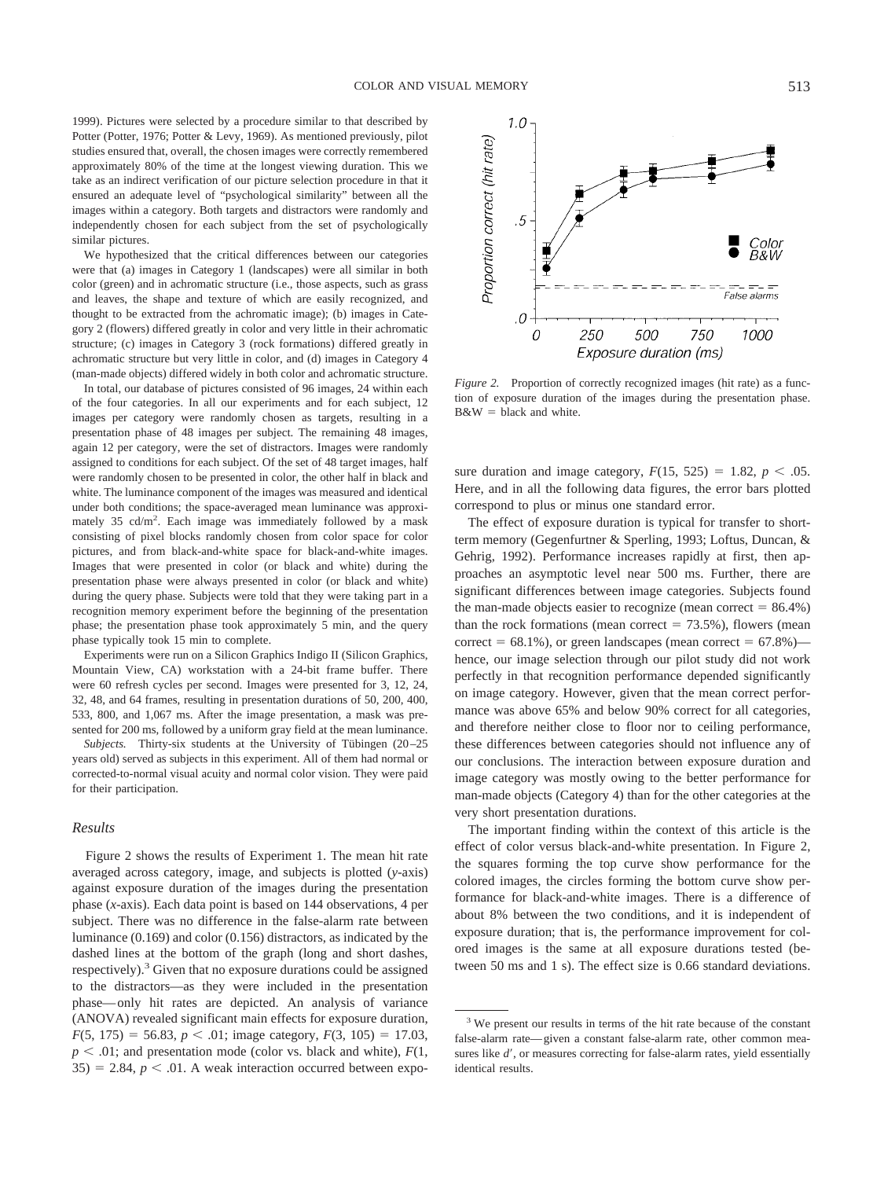1999). Pictures were selected by a procedure similar to that described by Potter (Potter, 1976; Potter & Levy, 1969). As mentioned previously, pilot studies ensured that, overall, the chosen images were correctly remembered approximately 80% of the time at the longest viewing duration. This we take as an indirect verification of our picture selection procedure in that it ensured an adequate level of "psychological similarity" between all the images within a category. Both targets and distractors were randomly and independently chosen for each subject from the set of psychologically similar pictures.

We hypothesized that the critical differences between our categories were that (a) images in Category 1 (landscapes) were all similar in both color (green) and in achromatic structure (i.e., those aspects, such as grass and leaves, the shape and texture of which are easily recognized, and thought to be extracted from the achromatic image); (b) images in Category 2 (flowers) differed greatly in color and very little in their achromatic structure; (c) images in Category 3 (rock formations) differed greatly in achromatic structure but very little in color, and (d) images in Category 4 (man-made objects) differed widely in both color and achromatic structure.

In total, our database of pictures consisted of 96 images, 24 within each of the four categories. In all our experiments and for each subject, 12 images per category were randomly chosen as targets, resulting in a presentation phase of 48 images per subject. The remaining 48 images, again 12 per category, were the set of distractors. Images were randomly assigned to conditions for each subject. Of the set of 48 target images, half were randomly chosen to be presented in color, the other half in black and white. The luminance component of the images was measured and identical under both conditions; the space-averaged mean luminance was approximately 35 cd/m2 . Each image was immediately followed by a mask consisting of pixel blocks randomly chosen from color space for color pictures, and from black-and-white space for black-and-white images. Images that were presented in color (or black and white) during the presentation phase were always presented in color (or black and white) during the query phase. Subjects were told that they were taking part in a recognition memory experiment before the beginning of the presentation phase; the presentation phase took approximately 5 min, and the query phase typically took 15 min to complete.

Experiments were run on a Silicon Graphics Indigo II (Silicon Graphics, Mountain View, CA) workstation with a 24-bit frame buffer. There were 60 refresh cycles per second. Images were presented for 3, 12, 24, 32, 48, and 64 frames, resulting in presentation durations of 50, 200, 400, 533, 800, and 1,067 ms. After the image presentation, a mask was presented for 200 ms, followed by a uniform gray field at the mean luminance.

*Subjects*. Thirty-six students at the University of Tübingen (20–25 years old) served as subjects in this experiment. All of them had normal or corrected-to-normal visual acuity and normal color vision. They were paid for their participation.

## *Results*

Figure 2 shows the results of Experiment 1. The mean hit rate averaged across category, image, and subjects is plotted (*y*-axis) against exposure duration of the images during the presentation phase (*x*-axis). Each data point is based on 144 observations, 4 per subject. There was no difference in the false-alarm rate between luminance (0.169) and color (0.156) distractors, as indicated by the dashed lines at the bottom of the graph (long and short dashes, respectively).<sup>3</sup> Given that no exposure durations could be assigned to the distractors—as they were included in the presentation phase—only hit rates are depicted. An analysis of variance (ANOVA) revealed significant main effects for exposure duration,  $F(5, 175) = 56.83, p < .01$ ; image category,  $F(3, 105) = 17.03$ ,  $p < .01$ ; and presentation mode (color vs. black and white),  $F(1, 0)$  $35$ ) = 2.84,  $p < .01$ . A weak interaction occurred between expo-



*Figure 2.* Proportion of correctly recognized images (hit rate) as a function of exposure duration of the images during the presentation phase.  $B&W = black$  and white.

sure duration and image category,  $F(15, 525) = 1.82$ ,  $p < .05$ . Here, and in all the following data figures, the error bars plotted correspond to plus or minus one standard error.

The effect of exposure duration is typical for transfer to shortterm memory (Gegenfurtner & Sperling, 1993; Loftus, Duncan, & Gehrig, 1992). Performance increases rapidly at first, then approaches an asymptotic level near 500 ms. Further, there are significant differences between image categories. Subjects found the man-made objects easier to recognize (mean correct  $= 86.4\%$ ) than the rock formations (mean correct  $= 73.5\%$ ), flowers (mean correct =  $68.1\%$ ), or green landscapes (mean correct =  $67.8\%$ ) hence, our image selection through our pilot study did not work perfectly in that recognition performance depended significantly on image category. However, given that the mean correct performance was above 65% and below 90% correct for all categories, and therefore neither close to floor nor to ceiling performance, these differences between categories should not influence any of our conclusions. The interaction between exposure duration and image category was mostly owing to the better performance for man-made objects (Category 4) than for the other categories at the very short presentation durations.

The important finding within the context of this article is the effect of color versus black-and-white presentation. In Figure 2, the squares forming the top curve show performance for the colored images, the circles forming the bottom curve show performance for black-and-white images. There is a difference of about 8% between the two conditions, and it is independent of exposure duration; that is, the performance improvement for colored images is the same at all exposure durations tested (between 50 ms and 1 s). The effect size is 0.66 standard deviations.

<sup>&</sup>lt;sup>3</sup> We present our results in terms of the hit rate because of the constant false-alarm rate—given a constant false-alarm rate, other common measures like  $d'$ , or measures correcting for false-alarm rates, yield essentially identical results.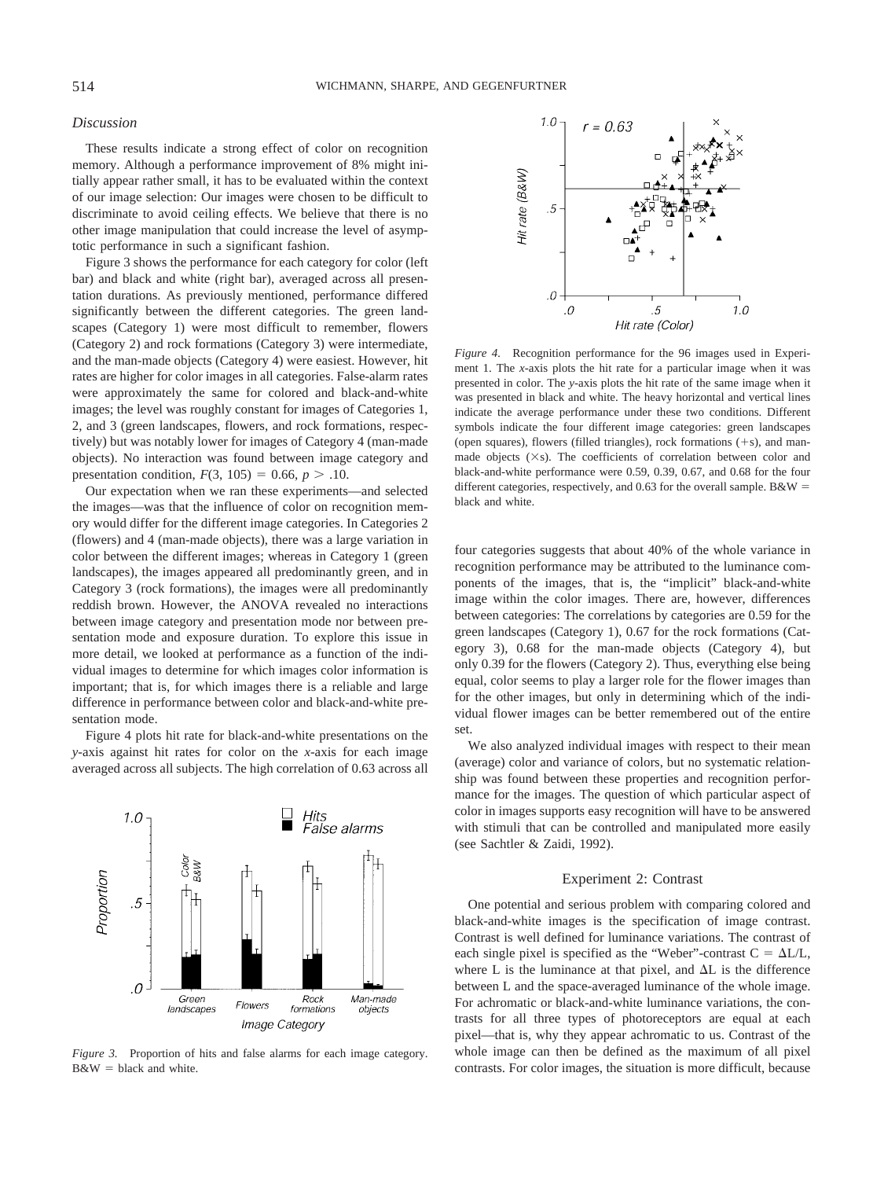#### *Discussion*

These results indicate a strong effect of color on recognition memory. Although a performance improvement of 8% might initially appear rather small, it has to be evaluated within the context of our image selection: Our images were chosen to be difficult to discriminate to avoid ceiling effects. We believe that there is no other image manipulation that could increase the level of asymptotic performance in such a significant fashion.

Figure 3 shows the performance for each category for color (left bar) and black and white (right bar), averaged across all presentation durations. As previously mentioned, performance differed significantly between the different categories. The green landscapes (Category 1) were most difficult to remember, flowers (Category 2) and rock formations (Category 3) were intermediate, and the man-made objects (Category 4) were easiest. However, hit rates are higher for color images in all categories. False-alarm rates were approximately the same for colored and black-and-white images; the level was roughly constant for images of Categories 1, 2, and 3 (green landscapes, flowers, and rock formations, respectively) but was notably lower for images of Category 4 (man-made objects). No interaction was found between image category and presentation condition,  $F(3, 105) = 0.66$ ,  $p > .10$ .

Our expectation when we ran these experiments—and selected the images—was that the influence of color on recognition memory would differ for the different image categories. In Categories 2 (flowers) and 4 (man-made objects), there was a large variation in color between the different images; whereas in Category 1 (green landscapes), the images appeared all predominantly green, and in Category 3 (rock formations), the images were all predominantly reddish brown. However, the ANOVA revealed no interactions between image category and presentation mode nor between presentation mode and exposure duration. To explore this issue in more detail, we looked at performance as a function of the individual images to determine for which images color information is important; that is, for which images there is a reliable and large difference in performance between color and black-and-white presentation mode.

Figure 4 plots hit rate for black-and-white presentations on the *y*-axis against hit rates for color on the *x*-axis for each image averaged across all subjects. The high correlation of 0.63 across all



*Figure 3.* Proportion of hits and false alarms for each image category.  $B&W = black$  and white.



*Figure 4.* Recognition performance for the 96 images used in Experiment 1. The *x*-axis plots the hit rate for a particular image when it was presented in color. The *y*-axis plots the hit rate of the same image when it was presented in black and white. The heavy horizontal and vertical lines indicate the average performance under these two conditions. Different symbols indicate the four different image categories: green landscapes (open squares), flowers (filled triangles), rock formations  $(+s)$ , and manmade objects  $(Xs)$ . The coefficients of correlation between color and black-and-white performance were 0.59, 0.39, 0.67, and 0.68 for the four different categories, respectively, and 0.63 for the overall sample. B&W = black and white.

four categories suggests that about 40% of the whole variance in recognition performance may be attributed to the luminance components of the images, that is, the "implicit" black-and-white image within the color images. There are, however, differences between categories: The correlations by categories are 0.59 for the green landscapes (Category 1), 0.67 for the rock formations (Category 3), 0.68 for the man-made objects (Category 4), but only 0.39 for the flowers (Category 2). Thus, everything else being equal, color seems to play a larger role for the flower images than for the other images, but only in determining which of the individual flower images can be better remembered out of the entire set.

We also analyzed individual images with respect to their mean (average) color and variance of colors, but no systematic relationship was found between these properties and recognition performance for the images. The question of which particular aspect of color in images supports easy recognition will have to be answered with stimuli that can be controlled and manipulated more easily (see Sachtler & Zaidi, 1992).

#### Experiment 2: Contrast

One potential and serious problem with comparing colored and black-and-white images is the specification of image contrast. Contrast is well defined for luminance variations. The contrast of each single pixel is specified as the "Weber"-contrast  $C = \Delta L/L$ , where L is the luminance at that pixel, and  $\Delta L$  is the difference between L and the space-averaged luminance of the whole image. For achromatic or black-and-white luminance variations, the contrasts for all three types of photoreceptors are equal at each pixel—that is, why they appear achromatic to us. Contrast of the whole image can then be defined as the maximum of all pixel contrasts. For color images, the situation is more difficult, because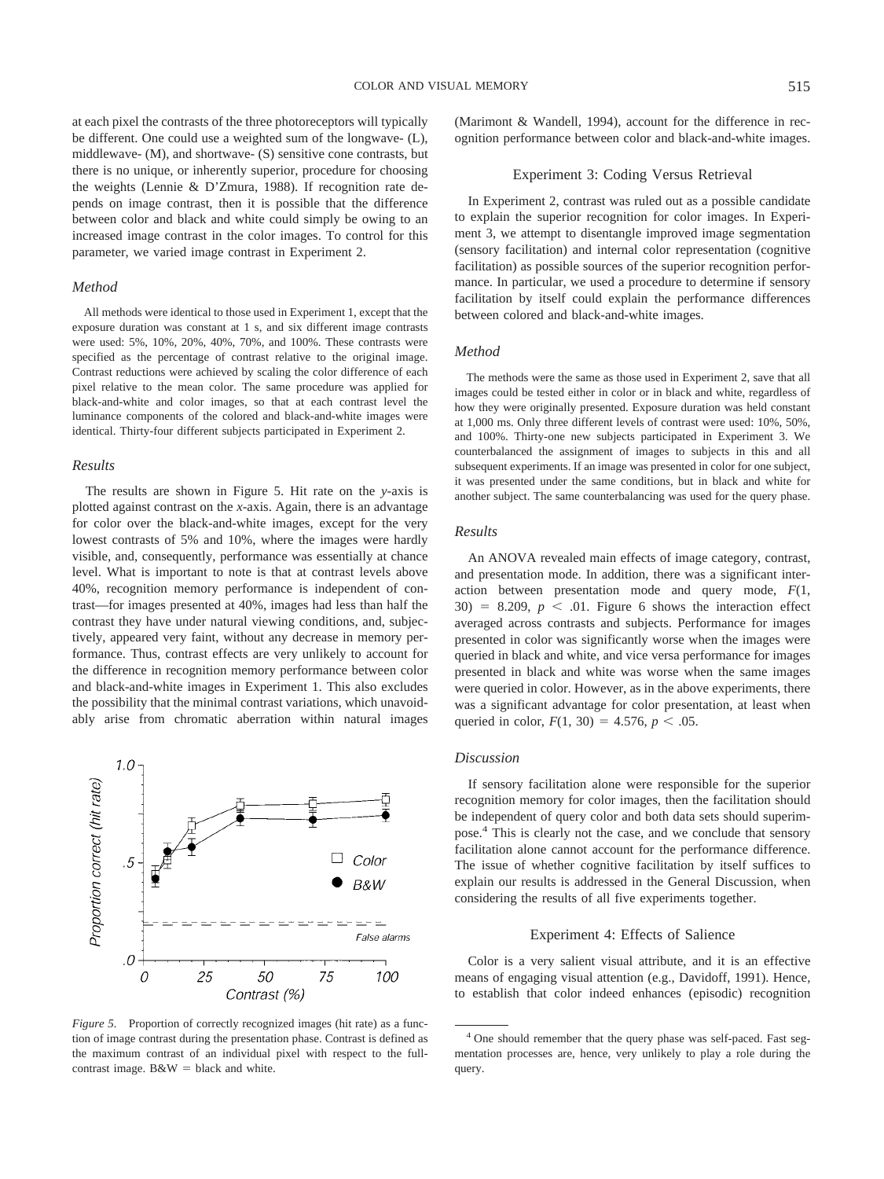at each pixel the contrasts of the three photoreceptors will typically be different. One could use a weighted sum of the longwave- (L), middlewave- (M), and shortwave- (S) sensitive cone contrasts, but there is no unique, or inherently superior, procedure for choosing the weights (Lennie & D'Zmura, 1988). If recognition rate depends on image contrast, then it is possible that the difference between color and black and white could simply be owing to an increased image contrast in the color images. To control for this parameter, we varied image contrast in Experiment 2.

#### *Method*

All methods were identical to those used in Experiment 1, except that the exposure duration was constant at 1 s, and six different image contrasts were used: 5%, 10%, 20%, 40%, 70%, and 100%. These contrasts were specified as the percentage of contrast relative to the original image. Contrast reductions were achieved by scaling the color difference of each pixel relative to the mean color. The same procedure was applied for black-and-white and color images, so that at each contrast level the luminance components of the colored and black-and-white images were identical. Thirty-four different subjects participated in Experiment 2.

#### *Results*

The results are shown in Figure 5. Hit rate on the *y*-axis is plotted against contrast on the *x*-axis. Again, there is an advantage for color over the black-and-white images, except for the very lowest contrasts of 5% and 10%, where the images were hardly visible, and, consequently, performance was essentially at chance level. What is important to note is that at contrast levels above 40%, recognition memory performance is independent of contrast—for images presented at 40%, images had less than half the contrast they have under natural viewing conditions, and, subjectively, appeared very faint, without any decrease in memory performance. Thus, contrast effects are very unlikely to account for the difference in recognition memory performance between color and black-and-white images in Experiment 1. This also excludes the possibility that the minimal contrast variations, which unavoidably arise from chromatic aberration within natural images



*Figure 5.* Proportion of correctly recognized images (hit rate) as a function of image contrast during the presentation phase. Contrast is defined as the maximum contrast of an individual pixel with respect to the fullcontrast image.  $B&W = black$  and white.

(Marimont & Wandell, 1994), account for the difference in recognition performance between color and black-and-white images.

## Experiment 3: Coding Versus Retrieval

In Experiment 2, contrast was ruled out as a possible candidate to explain the superior recognition for color images. In Experiment 3, we attempt to disentangle improved image segmentation (sensory facilitation) and internal color representation (cognitive facilitation) as possible sources of the superior recognition performance. In particular, we used a procedure to determine if sensory facilitation by itself could explain the performance differences between colored and black-and-white images.

## *Method*

The methods were the same as those used in Experiment 2, save that all images could be tested either in color or in black and white, regardless of how they were originally presented. Exposure duration was held constant at 1,000 ms. Only three different levels of contrast were used: 10%, 50%, and 100%. Thirty-one new subjects participated in Experiment 3. We counterbalanced the assignment of images to subjects in this and all subsequent experiments. If an image was presented in color for one subject, it was presented under the same conditions, but in black and white for another subject. The same counterbalancing was used for the query phase.

## *Results*

An ANOVA revealed main effects of image category, contrast, and presentation mode. In addition, there was a significant interaction between presentation mode and query mode, *F*(1,  $30) = 8.209$ ,  $p < .01$ . Figure 6 shows the interaction effect averaged across contrasts and subjects. Performance for images presented in color was significantly worse when the images were queried in black and white, and vice versa performance for images presented in black and white was worse when the same images were queried in color. However, as in the above experiments, there was a significant advantage for color presentation, at least when queried in color,  $F(1, 30) = 4.576$ ,  $p < .05$ .

## *Discussion*

If sensory facilitation alone were responsible for the superior recognition memory for color images, then the facilitation should be independent of query color and both data sets should superimpose.4 This is clearly not the case, and we conclude that sensory facilitation alone cannot account for the performance difference. The issue of whether cognitive facilitation by itself suffices to explain our results is addressed in the General Discussion, when considering the results of all five experiments together.

#### Experiment 4: Effects of Salience

Color is a very salient visual attribute, and it is an effective means of engaging visual attention (e.g., Davidoff, 1991). Hence, to establish that color indeed enhances (episodic) recognition

<sup>4</sup> One should remember that the query phase was self-paced. Fast segmentation processes are, hence, very unlikely to play a role during the query.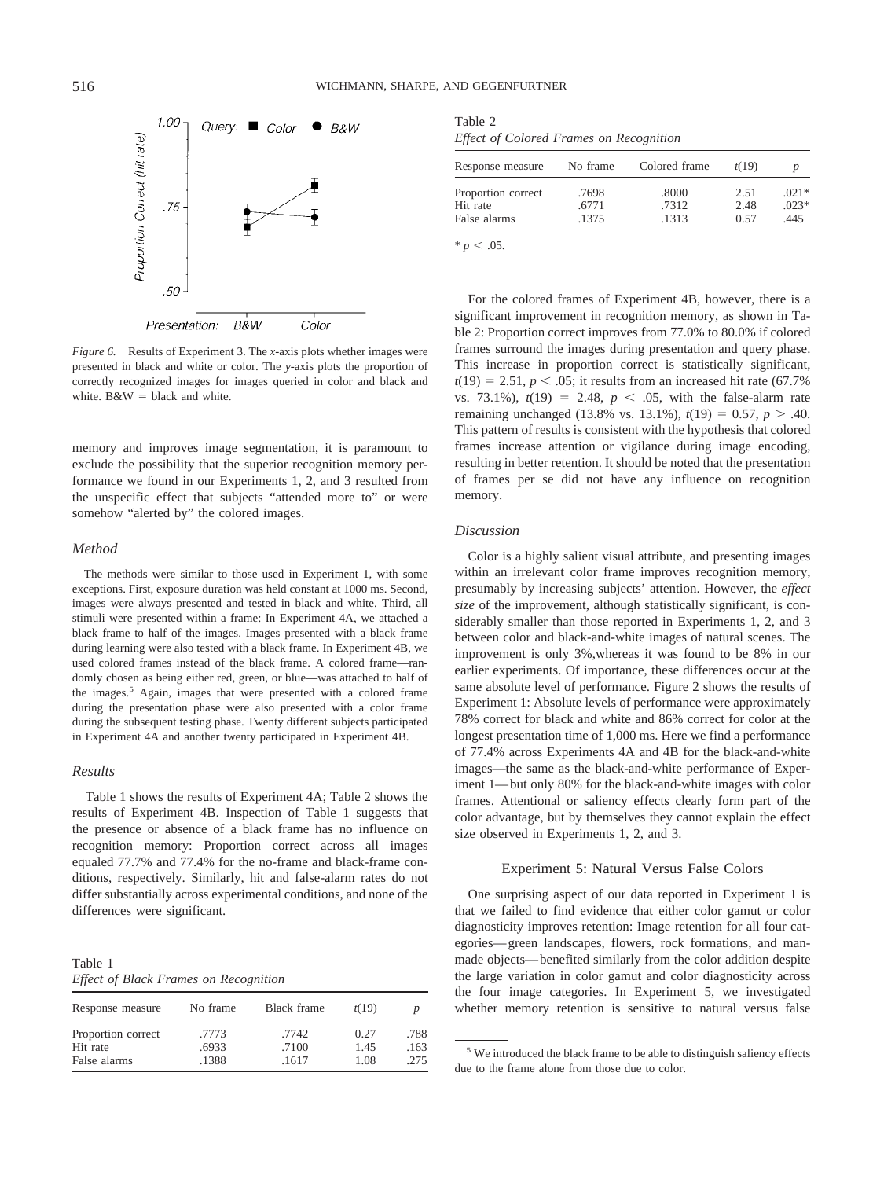

*Figure 6.* Results of Experiment 3. The *x*-axis plots whether images were presented in black and white or color. The *y*-axis plots the proportion of correctly recognized images for images queried in color and black and white.  $B&W = black$  and white.

memory and improves image segmentation, it is paramount to exclude the possibility that the superior recognition memory performance we found in our Experiments 1, 2, and 3 resulted from the unspecific effect that subjects "attended more to" or were somehow "alerted by" the colored images.

#### *Method*

The methods were similar to those used in Experiment 1, with some exceptions. First, exposure duration was held constant at 1000 ms. Second, images were always presented and tested in black and white. Third, all stimuli were presented within a frame: In Experiment 4A, we attached a black frame to half of the images. Images presented with a black frame during learning were also tested with a black frame. In Experiment 4B, we used colored frames instead of the black frame. A colored frame—randomly chosen as being either red, green, or blue—was attached to half of the images.<sup>5</sup> Again, images that were presented with a colored frame during the presentation phase were also presented with a color frame during the subsequent testing phase. Twenty different subjects participated in Experiment 4A and another twenty participated in Experiment 4B.

#### *Results*

Table 1 shows the results of Experiment 4A; Table 2 shows the results of Experiment 4B. Inspection of Table 1 suggests that the presence or absence of a black frame has no influence on recognition memory: Proportion correct across all images equaled 77.7% and 77.4% for the no-frame and black-frame conditions, respectively. Similarly, hit and false-alarm rates do not differ substantially across experimental conditions, and none of the differences were significant.

| Table 1 |  |                                              |
|---------|--|----------------------------------------------|
|         |  | <b>Effect of Black Frames on Recognition</b> |

| Response measure               | No frame       | Black frame    | t(19)        |              |
|--------------------------------|----------------|----------------|--------------|--------------|
| Proportion correct<br>Hit rate | .7773<br>.6933 | .7742<br>.7100 | 0.27<br>1.45 | .788<br>.163 |
| False alarms                   | .1388          | .1617          | 1.08         | .275         |

Table 2 *Effect of Colored Frames on Recognition*

| Response measure   | No frame | Colored frame | t(19) |         |
|--------------------|----------|---------------|-------|---------|
| Proportion correct | .7698    | .8000         | 2.51  | $.021*$ |
| Hit rate           | .6771    | .7312         | 2.48  | $.023*$ |
| False alarms       | .1375    | .1313         | 0.57  | .445    |

 $* p < .05$ .

For the colored frames of Experiment 4B, however, there is a significant improvement in recognition memory, as shown in Table 2: Proportion correct improves from 77.0% to 80.0% if colored frames surround the images during presentation and query phase. This increase in proportion correct is statistically significant,  $t(19) = 2.51, p \leq .05$ ; it results from an increased hit rate (67.7%) vs. 73.1%),  $t(19) = 2.48$ ,  $p < .05$ , with the false-alarm rate remaining unchanged (13.8% vs. 13.1%),  $t(19) = 0.57$ ,  $p > .40$ . This pattern of results is consistent with the hypothesis that colored frames increase attention or vigilance during image encoding, resulting in better retention. It should be noted that the presentation of frames per se did not have any influence on recognition memory.

#### *Discussion*

Color is a highly salient visual attribute, and presenting images within an irrelevant color frame improves recognition memory, presumably by increasing subjects' attention. However, the *effect size* of the improvement, although statistically significant, is considerably smaller than those reported in Experiments 1, 2, and 3 between color and black-and-white images of natural scenes. The improvement is only 3%,whereas it was found to be 8% in our earlier experiments. Of importance, these differences occur at the same absolute level of performance. Figure 2 shows the results of Experiment 1: Absolute levels of performance were approximately 78% correct for black and white and 86% correct for color at the longest presentation time of 1,000 ms. Here we find a performance of 77.4% across Experiments 4A and 4B for the black-and-white images—the same as the black-and-white performance of Experiment 1—but only 80% for the black-and-white images with color frames. Attentional or saliency effects clearly form part of the color advantage, but by themselves they cannot explain the effect size observed in Experiments 1, 2, and 3.

## Experiment 5: Natural Versus False Colors

One surprising aspect of our data reported in Experiment 1 is that we failed to find evidence that either color gamut or color diagnosticity improves retention: Image retention for all four categories—green landscapes, flowers, rock formations, and manmade objects—benefited similarly from the color addition despite the large variation in color gamut and color diagnosticity across the four image categories. In Experiment 5, we investigated whether memory retention is sensitive to natural versus false

<sup>5</sup> We introduced the black frame to be able to distinguish saliency effects due to the frame alone from those due to color.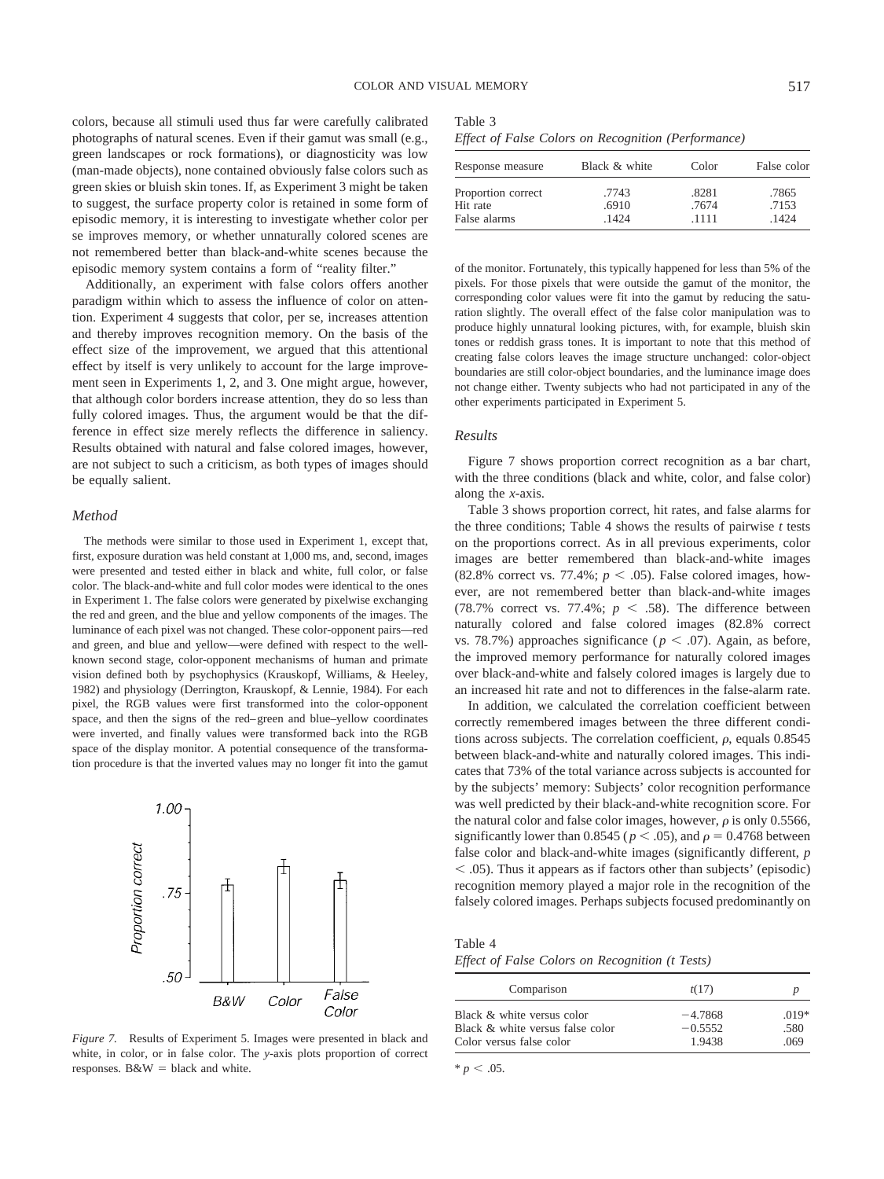colors, because all stimuli used thus far were carefully calibrated photographs of natural scenes. Even if their gamut was small (e.g., green landscapes or rock formations), or diagnosticity was low (man-made objects), none contained obviously false colors such as green skies or bluish skin tones. If, as Experiment 3 might be taken to suggest, the surface property color is retained in some form of episodic memory, it is interesting to investigate whether color per se improves memory, or whether unnaturally colored scenes are not remembered better than black-and-white scenes because the episodic memory system contains a form of "reality filter."

Additionally, an experiment with false colors offers another paradigm within which to assess the influence of color on attention. Experiment 4 suggests that color, per se, increases attention and thereby improves recognition memory. On the basis of the effect size of the improvement, we argued that this attentional effect by itself is very unlikely to account for the large improvement seen in Experiments 1, 2, and 3. One might argue, however, that although color borders increase attention, they do so less than fully colored images. Thus, the argument would be that the difference in effect size merely reflects the difference in saliency. Results obtained with natural and false colored images, however, are not subject to such a criticism, as both types of images should be equally salient.

## *Method*

The methods were similar to those used in Experiment 1, except that, first, exposure duration was held constant at 1,000 ms, and, second, images were presented and tested either in black and white, full color, or false color. The black-and-white and full color modes were identical to the ones in Experiment 1. The false colors were generated by pixelwise exchanging the red and green, and the blue and yellow components of the images. The luminance of each pixel was not changed. These color-opponent pairs—red and green, and blue and yellow—were defined with respect to the wellknown second stage, color-opponent mechanisms of human and primate vision defined both by psychophysics (Krauskopf, Williams, & Heeley, 1982) and physiology (Derrington, Krauskopf, & Lennie, 1984). For each pixel, the RGB values were first transformed into the color-opponent space, and then the signs of the red–green and blue–yellow coordinates were inverted, and finally values were transformed back into the RGB space of the display monitor. A potential consequence of the transformation procedure is that the inverted values may no longer fit into the gamut



*Figure 7.* Results of Experiment 5. Images were presented in black and white, in color, or in false color. The *y*-axis plots proportion of correct responses. B&W = black and white.

| ×<br>۰.<br>I<br>×<br>. .<br>× |  |
|-------------------------------|--|
|-------------------------------|--|

*Effect of False Colors on Recognition (Performance)*

| Response measure   | Black & white | Color | False color |
|--------------------|---------------|-------|-------------|
| Proportion correct | .7743         | .8281 | .7865       |
| Hit rate           | .6910         | .7674 | .7153       |
| False alarms       | 1424          | .1111 | .1424       |

of the monitor. Fortunately, this typically happened for less than 5% of the pixels. For those pixels that were outside the gamut of the monitor, the corresponding color values were fit into the gamut by reducing the saturation slightly. The overall effect of the false color manipulation was to produce highly unnatural looking pictures, with, for example, bluish skin tones or reddish grass tones. It is important to note that this method of creating false colors leaves the image structure unchanged: color-object boundaries are still color-object boundaries, and the luminance image does not change either. Twenty subjects who had not participated in any of the other experiments participated in Experiment 5.

#### *Results*

Figure 7 shows proportion correct recognition as a bar chart, with the three conditions (black and white, color, and false color) along the *x*-axis.

Table 3 shows proportion correct, hit rates, and false alarms for the three conditions; Table 4 shows the results of pairwise *t* tests on the proportions correct. As in all previous experiments, color images are better remembered than black-and-white images  $(82.8\%$  correct vs. 77.4%;  $p < .05$ ). False colored images, however, are not remembered better than black-and-white images  $(78.7\%$  correct vs.  $77.4\%$ ;  $p \leq .58$ ). The difference between naturally colored and false colored images (82.8% correct vs. 78.7%) approaches significance ( $p < .07$ ). Again, as before, the improved memory performance for naturally colored images over black-and-white and falsely colored images is largely due to an increased hit rate and not to differences in the false-alarm rate.

In addition, we calculated the correlation coefficient between correctly remembered images between the three different conditions across subjects. The correlation coefficient,  $\rho$ , equals  $0.8545$ between black-and-white and naturally colored images. This indicates that 73% of the total variance across subjects is accounted for by the subjects' memory: Subjects' color recognition performance was well predicted by their black-and-white recognition score. For the natural color and false color images, however,  $\rho$  is only 0.5566, significantly lower than 0.8545 ( $p < .05$ ), and  $\rho = 0.4768$  between false color and black-and-white images (significantly different, *p* - .05). Thus it appears as if factors other than subjects' (episodic) recognition memory played a major role in the recognition of the falsely colored images. Perhaps subjects focused predominantly on

Table 4 *Effect of False Colors on Recognition (t Tests)*

| Comparison                       | t(17)     |         |
|----------------------------------|-----------|---------|
| Black & white versus color       | $-4.7868$ | $.019*$ |
| Black & white versus false color | $-0.5552$ | .580    |
| Color versus false color         | 1.9438    | .069    |

 $* p < .05$ .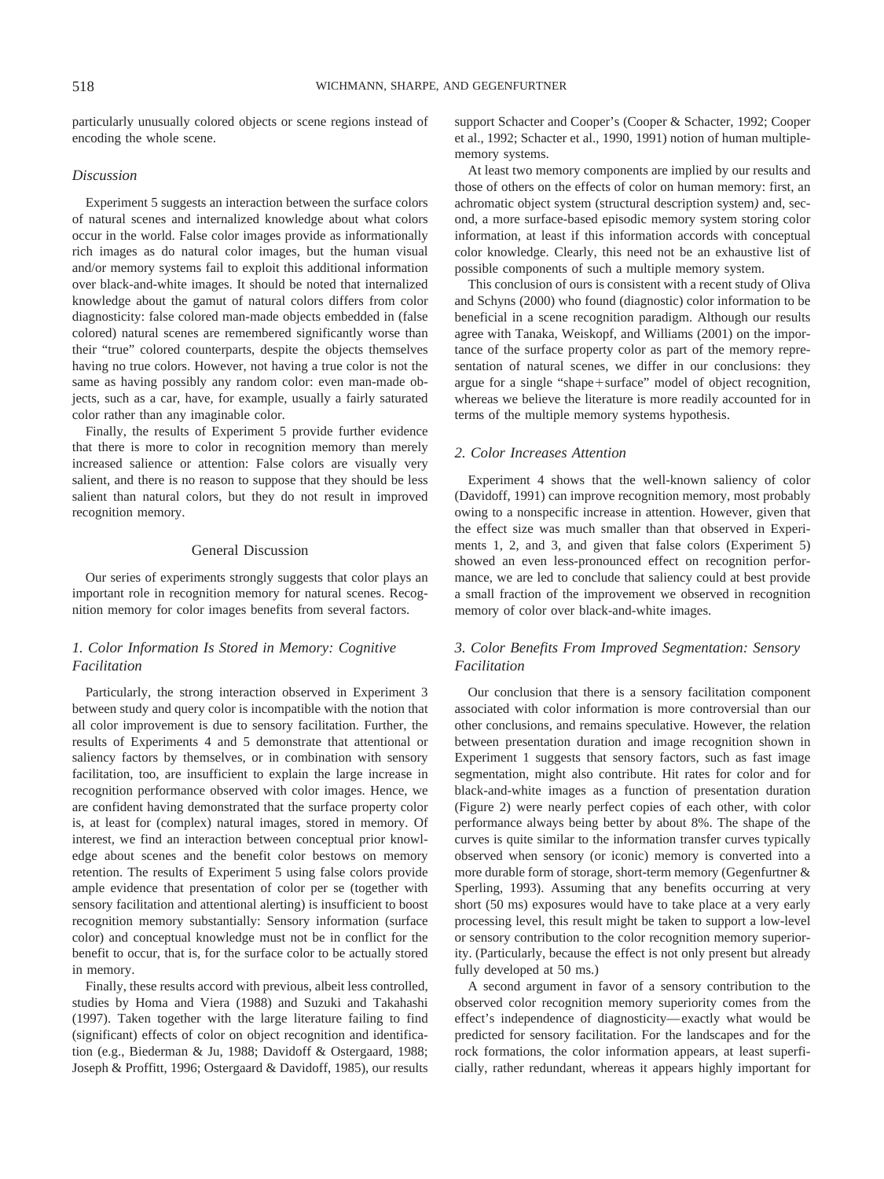particularly unusually colored objects or scene regions instead of encoding the whole scene.

## *Discussion*

Experiment 5 suggests an interaction between the surface colors of natural scenes and internalized knowledge about what colors occur in the world. False color images provide as informationally rich images as do natural color images, but the human visual and/or memory systems fail to exploit this additional information over black-and-white images. It should be noted that internalized knowledge about the gamut of natural colors differs from color diagnosticity: false colored man-made objects embedded in (false colored) natural scenes are remembered significantly worse than their "true" colored counterparts, despite the objects themselves having no true colors. However, not having a true color is not the same as having possibly any random color: even man-made objects, such as a car, have, for example, usually a fairly saturated color rather than any imaginable color.

Finally, the results of Experiment 5 provide further evidence that there is more to color in recognition memory than merely increased salience or attention: False colors are visually very salient, and there is no reason to suppose that they should be less salient than natural colors, but they do not result in improved recognition memory.

## General Discussion

Our series of experiments strongly suggests that color plays an important role in recognition memory for natural scenes. Recognition memory for color images benefits from several factors.

# *1. Color Information Is Stored in Memory: Cognitive Facilitation*

Particularly, the strong interaction observed in Experiment 3 between study and query color is incompatible with the notion that all color improvement is due to sensory facilitation. Further, the results of Experiments 4 and 5 demonstrate that attentional or saliency factors by themselves, or in combination with sensory facilitation, too, are insufficient to explain the large increase in recognition performance observed with color images. Hence, we are confident having demonstrated that the surface property color is, at least for (complex) natural images, stored in memory. Of interest, we find an interaction between conceptual prior knowledge about scenes and the benefit color bestows on memory retention. The results of Experiment 5 using false colors provide ample evidence that presentation of color per se (together with sensory facilitation and attentional alerting) is insufficient to boost recognition memory substantially: Sensory information (surface color) and conceptual knowledge must not be in conflict for the benefit to occur, that is, for the surface color to be actually stored in memory.

Finally, these results accord with previous, albeit less controlled, studies by Homa and Viera (1988) and Suzuki and Takahashi (1997). Taken together with the large literature failing to find (significant) effects of color on object recognition and identification (e.g., Biederman & Ju, 1988; Davidoff & Ostergaard, 1988; Joseph & Proffitt, 1996; Ostergaard & Davidoff, 1985), our results support Schacter and Cooper's (Cooper & Schacter, 1992; Cooper et al., 1992; Schacter et al., 1990, 1991) notion of human multiplememory systems.

At least two memory components are implied by our results and those of others on the effects of color on human memory: first, an achromatic object system (structural description system*)* and, second, a more surface-based episodic memory system storing color information, at least if this information accords with conceptual color knowledge. Clearly, this need not be an exhaustive list of possible components of such a multiple memory system.

This conclusion of ours is consistent with a recent study of Oliva and Schyns (2000) who found (diagnostic) color information to be beneficial in a scene recognition paradigm. Although our results agree with Tanaka, Weiskopf, and Williams (2001) on the importance of the surface property color as part of the memory representation of natural scenes, we differ in our conclusions: they argue for a single "shape+surface" model of object recognition, whereas we believe the literature is more readily accounted for in terms of the multiple memory systems hypothesis.

#### *2. Color Increases Attention*

Experiment 4 shows that the well-known saliency of color (Davidoff, 1991) can improve recognition memory, most probably owing to a nonspecific increase in attention. However, given that the effect size was much smaller than that observed in Experiments 1, 2, and 3, and given that false colors (Experiment 5) showed an even less-pronounced effect on recognition performance, we are led to conclude that saliency could at best provide a small fraction of the improvement we observed in recognition memory of color over black-and-white images.

# *3. Color Benefits From Improved Segmentation: Sensory Facilitation*

Our conclusion that there is a sensory facilitation component associated with color information is more controversial than our other conclusions, and remains speculative. However, the relation between presentation duration and image recognition shown in Experiment 1 suggests that sensory factors, such as fast image segmentation, might also contribute. Hit rates for color and for black-and-white images as a function of presentation duration (Figure 2) were nearly perfect copies of each other, with color performance always being better by about 8%. The shape of the curves is quite similar to the information transfer curves typically observed when sensory (or iconic) memory is converted into a more durable form of storage, short-term memory (Gegenfurtner & Sperling, 1993). Assuming that any benefits occurring at very short (50 ms) exposures would have to take place at a very early processing level, this result might be taken to support a low-level or sensory contribution to the color recognition memory superiority. (Particularly, because the effect is not only present but already fully developed at 50 ms.)

A second argument in favor of a sensory contribution to the observed color recognition memory superiority comes from the effect's independence of diagnosticity—exactly what would be predicted for sensory facilitation. For the landscapes and for the rock formations, the color information appears, at least superficially, rather redundant, whereas it appears highly important for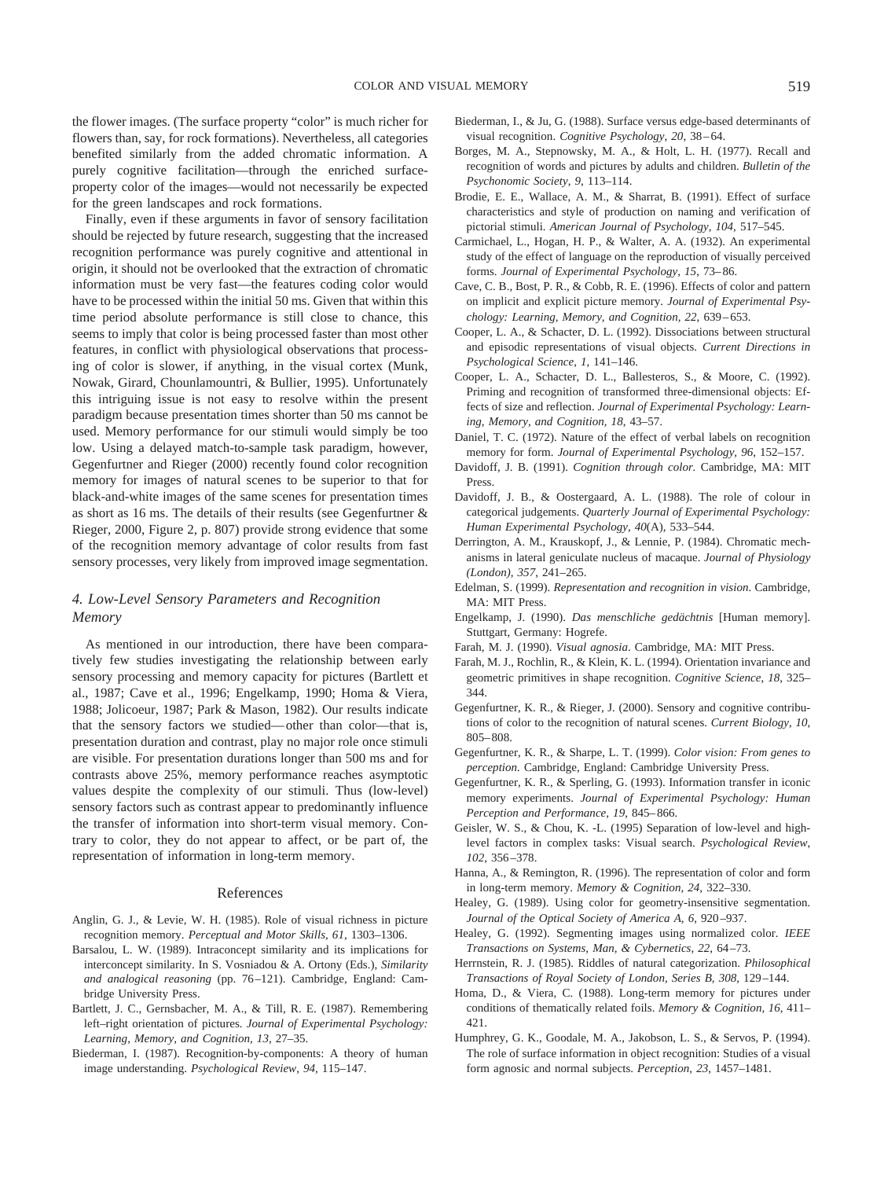the flower images. (The surface property "color" is much richer for flowers than, say, for rock formations). Nevertheless, all categories benefited similarly from the added chromatic information. A purely cognitive facilitation––through the enriched surfaceproperty color of the images––would not necessarily be expected for the green landscapes and rock formations.

Finally, even if these arguments in favor of sensory facilitation should be rejected by future research, suggesting that the increased recognition performance was purely cognitive and attentional in origin, it should not be overlooked that the extraction of chromatic information must be very fast—the features coding color would have to be processed within the initial 50 ms. Given that within this time period absolute performance is still close to chance, this seems to imply that color is being processed faster than most other features, in conflict with physiological observations that processing of color is slower, if anything, in the visual cortex (Munk, Nowak, Girard, Chounlamountri, & Bullier, 1995). Unfortunately this intriguing issue is not easy to resolve within the present paradigm because presentation times shorter than 50 ms cannot be used. Memory performance for our stimuli would simply be too low. Using a delayed match-to-sample task paradigm, however, Gegenfurtner and Rieger (2000) recently found color recognition memory for images of natural scenes to be superior to that for black-and-white images of the same scenes for presentation times as short as 16 ms. The details of their results (see Gegenfurtner & Rieger, 2000, Figure 2, p. 807) provide strong evidence that some of the recognition memory advantage of color results from fast sensory processes, very likely from improved image segmentation.

# *4. Low-Level Sensory Parameters and Recognition Memory*

As mentioned in our introduction, there have been comparatively few studies investigating the relationship between early sensory processing and memory capacity for pictures (Bartlett et al., 1987; Cave et al., 1996; Engelkamp, 1990; Homa & Viera, 1988; Jolicoeur, 1987; Park & Mason, 1982). Our results indicate that the sensory factors we studied—other than color—that is, presentation duration and contrast, play no major role once stimuli are visible. For presentation durations longer than 500 ms and for contrasts above 25%, memory performance reaches asymptotic values despite the complexity of our stimuli. Thus (low-level) sensory factors such as contrast appear to predominantly influence the transfer of information into short-term visual memory. Contrary to color, they do not appear to affect, or be part of, the representation of information in long-term memory.

#### References

- Anglin, G. J., & Levie, W. H. (1985). Role of visual richness in picture recognition memory. *Perceptual and Motor Skills, 61*, 1303–1306.
- Barsalou, L. W. (1989). Intraconcept similarity and its implications for interconcept similarity. In S. Vosniadou & A. Ortony (Eds.), *Similarity and analogical reasoning* (pp. 76–121). Cambridge, England: Cambridge University Press.
- Bartlett, J. C., Gernsbacher, M. A., & Till, R. E. (1987). Remembering left–right orientation of pictures. *Journal of Experimental Psychology: Learning, Memory, and Cognition, 13,* 27–35.
- Biederman, I. (1987). Recognition-by-components: A theory of human image understanding. *Psychological Review, 94,* 115–147.
- Biederman, I., & Ju, G. (1988). Surface versus edge-based determinants of visual recognition. *Cognitive Psychology*, *20*, 38–64.
- Borges, M. A., Stepnowsky, M. A., & Holt, L. H. (1977). Recall and recognition of words and pictures by adults and children. *Bulletin of the Psychonomic Society*, *9*, 113–114.
- Brodie, E. E., Wallace, A. M., & Sharrat, B. (1991). Effect of surface characteristics and style of production on naming and verification of pictorial stimuli. *American Journal of Psychology, 104,* 517–545.
- Carmichael, L., Hogan, H. P., & Walter, A. A. (1932). An experimental study of the effect of language on the reproduction of visually perceived forms. *Journal of Experimental Psychology, 15*, 73–86.
- Cave, C. B., Bost, P. R., & Cobb, R. E. (1996). Effects of color and pattern on implicit and explicit picture memory. *Journal of Experimental Psychology: Learning, Memory, and Cognition, 22*, 639–653.
- Cooper, L. A., & Schacter, D. L. (1992). Dissociations between structural and episodic representations of visual objects. *Current Directions in Psychological Science, 1*, 141–146.
- Cooper, L. A., Schacter, D. L., Ballesteros, S., & Moore, C. (1992). Priming and recognition of transformed three-dimensional objects: Effects of size and reflection. *Journal of Experimental Psychology: Learning, Memory, and Cognition, 18*, 43–57.
- Daniel, T. C. (1972). Nature of the effect of verbal labels on recognition memory for form. *Journal of Experimental Psychology, 96*, 152–157.
- Davidoff, J. B. (1991). *Cognition through color.* Cambridge, MA: MIT Press.
- Davidoff, J. B., & Oostergaard, A. L. (1988). The role of colour in categorical judgements. *Quarterly Journal of Experimental Psychology: Human Experimental Psychology*, *40*(A), 533–544.
- Derrington, A. M., Krauskopf, J., & Lennie, P. (1984). Chromatic mechanisms in lateral geniculate nucleus of macaque. *Journal of Physiology (London), 357*, 241–265.
- Edelman, S. (1999). *Representation and recognition in vision*. Cambridge, MA: MIT Press.
- Engelkamp, J. (1990). *Das menschliche gedächtnis* [Human memory]. Stuttgart, Germany: Hogrefe.
- Farah, M. J. (1990). *Visual agnosia*. Cambridge, MA: MIT Press.
- Farah, M. J., Rochlin, R., & Klein, K. L. (1994). Orientation invariance and geometric primitives in shape recognition. *Cognitive Science*, *18*, 325– 344.
- Gegenfurtner, K. R., & Rieger, J. (2000). Sensory and cognitive contributions of color to the recognition of natural scenes. *Current Biology*, *10*, 805–808.
- Gegenfurtner, K. R., & Sharpe, L. T. (1999). *Color vision: From genes to perception.* Cambridge, England: Cambridge University Press.
- Gegenfurtner, K. R., & Sperling, G. (1993). Information transfer in iconic memory experiments. *Journal of Experimental Psychology: Human Perception and Performance, 19*, 845–866.
- Geisler, W. S., & Chou, K. -L. (1995) Separation of low-level and highlevel factors in complex tasks: Visual search. *Psychological Review*, *102*, 356–378.
- Hanna, A., & Remington, R. (1996). The representation of color and form in long-term memory. *Memory & Cognition, 24,* 322–330.
- Healey, G. (1989). Using color for geometry-insensitive segmentation. *Journal of the Optical Society of America A, 6*, 920–937.
- Healey, G. (1992). Segmenting images using normalized color. *IEEE Transactions on Systems, Man, & Cybernetics, 22*, 64–73.
- Herrnstein, R. J. (1985). Riddles of natural categorization. *Philosophical Transactions of Royal Society of London, Series B, 308*, 129–144.
- Homa, D., & Viera, C. (1988). Long-term memory for pictures under conditions of thematically related foils. *Memory & Cognition, 16*, 411– 421.
- Humphrey, G. K., Goodale, M. A., Jakobson, L. S., & Servos, P. (1994). The role of surface information in object recognition: Studies of a visual form agnosic and normal subjects. *Perception, 23*, 1457–1481.